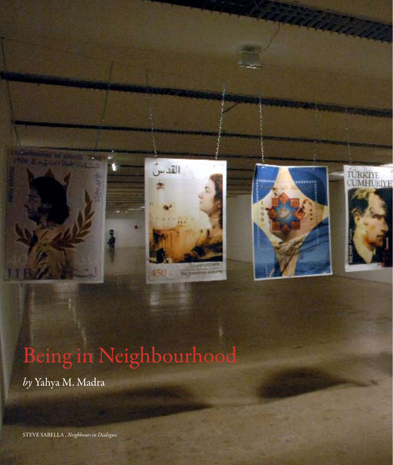

## Being in Neighbourhood

*by* Yahya M. Madra

STEVE SABELLA , *Neighbours in Dialogue*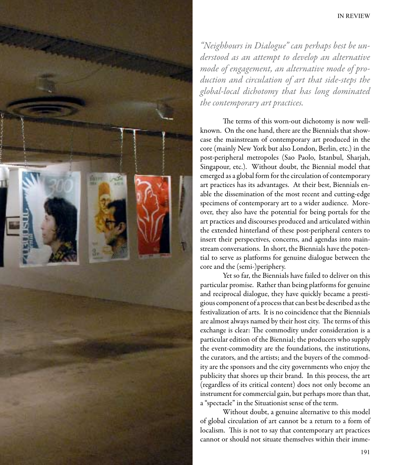

*"Neighbours in Dialogue" can perhaps best be understood as an attempt to develop an alternative mode of engagement, an alternative mode of production and circulation of art that side-steps the global-local dichotomy that has long dominated the contemporary art practices.* 

The terms of this worn-out dichotomy is now wellknown. On the one hand, there are the Biennials that showcase the mainstream of contemporary art produced in the core (mainly New York but also London, Berlin, etc.) in the post-peripheral metropoles (Sao Paolo, Istanbul, Sharjah, Singapour, etc.). Without doubt, the Biennial model that emerged as a global form for the circulation of contemporary art practices has its advantages. At their best, Biennials enable the dissemination of the most recent and cutting-edge specimens of contemporary art to a wider audience. Moreover, they also have the potential for being portals for the art practices and discourses produced and articulated within the extended hinterland of these post-peripheral centers to insert their perspectives, concerns, and agendas into mainstream conversations. In short, the Biennials have the potential to serve as platforms for genuine dialogue between the core and the (semi-)periphery.

Yet so far, the Biennials have failed to deliver on this particular promise. Rather than being platforms for genuine and reciprocal dialogue, they have quickly became a prestigious component of a process that can best be described as the festivalization of arts. It is no coincidence that the Biennials are almost always named by their host city. The terms of this exchange is clear: The commodity under consideration is a particular edition of the Biennial; the producers who supply the event-commodity are the foundations, the institutions, the curators, and the artists; and the buyers of the commodity are the sponsors and the city governments who enjoy the publicity that shores up their brand. In this process, the art (regardless of its critical content) does not only become an instrument for commercial gain, but perhaps more than that, a "spectacle" in the Situationist sense of the term.

Without doubt, a genuine alternative to this model of global circulation of art cannot be a return to a form of localism. This is not to say that contemporary art practices cannot or should not situate themselves within their imme-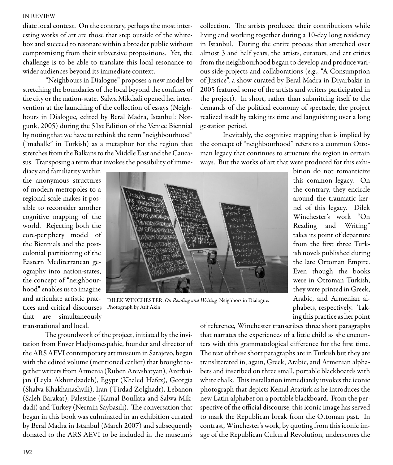## IN REVIEW

diate local context. On the contrary, perhaps the most interesting works of art are those that step outside of the whitebox and succeed to resonate within a broader public without compromising from their subversive propositions. Yet, the challenge is to be able to translate this local resonance to wider audiences beyond its immediate context.

"Neighbours in Dialogue" proposes a new model by stretching the boundaries of the local beyond the confines of the city or the nation-state. Salwa Mikdadi opened her intervention at the launching of the collection of essays (Neighbours in Dialogue, edited by Beral Madra, Istanbul: Norgunk, 2005) during the 51st Edition of the Venice Biennial by noting that we have to rethink the term "neighbourhood" ("mahalle" in Turkish) as a metaphor for the region that stretches from the Balkans to the Middle East and the Caucasus. Transposing a term that invokes the possibility of imme-

collection. The artists produced their contributions while living and working together during a 10-day long residency in Istanbul. During the entire process that stretched over almost 3 and half years, the artists, curators, and art critics from the neighbourhood began to develop and produce various side-projects and collaborations (e.g., "A Consumption of Justice", a show curated by Beral Madra in Diyarbakir in 2005 featured some of the artists and writers participated in the project). In short, rather than submitting itself to the demands of the political economy of spectacle, the project realized itself by taking its time and languishing over a long gestation period.

Inevitably, the cognitive mapping that is implied by the concept of "neighbourhood" refers to a common Ottoman legacy that continues to structure the region in certain ways. But the works of art that were produced for this exhi-

diacy and familiarity within the anonymous structures of modern metropoles to a regional scale makes it possible to reconsider another cognitive mapping of the world. Rejecting both the core-periphery model of the Biennials and the postcolonial partitioning of the Eastern Mediterranean geography into nation-states, the concept of "neighbourhood" enables us to imagine and articulate artistic practices and critical discourses that are simultaneously transnational and local.



DILEK WINCHESTER, *On Reading and Writing.* Neighbors in Dialogue. Photograph by Atif Akin

The groundwork of the project, initiated by the invitation from Enver Hadjiomespahic, founder and director of the ARS AEVI contemporary art museum in Sarajevo, began with the edited volume (mentioned earlier) that brought together writers from Armenia (Ruben Arevshatyan), Azerbaijan (Leyla Akhundzadeh), Egypt (Khaled Hafez), Georgia (Shalva Khakhanashvili), Iran (Tirdad Zolghadr), Lebanon (Saleh Barakat), Palestine (Kamal Boullata and Salwa Mikdadi) and Turkey (Nermin Saybasılı). The conversation that began in this book was culminated in an exhibition curated by Beral Madra in Istanbul (March 2007) and subsequently donated to the ARS AEVI to be included in the museum's of reference, Winchester transcribes three short paragraphs that narrates the experiences of a little child as she encounters with this grammatological difference for the first time. The text of these short paragraphs are in Turkish but they are transliterated in, again, Greek, Arabic, and Armenian alphabets and inscribed on three small, portable blackboards with white chalk. This installation immediately invokes the iconic photograph that depicts Kemal Atatürk as he introduces the new Latin alphabet on a portable blackboard. From the perspective of the official discourse, this iconic image has served to mark the Republican break from the Ottoman past. In contrast, Winchester's work, by quoting from this iconic image of the Republican Cultural Revolution, underscores the

phabets, respectively. Taking this practice as her point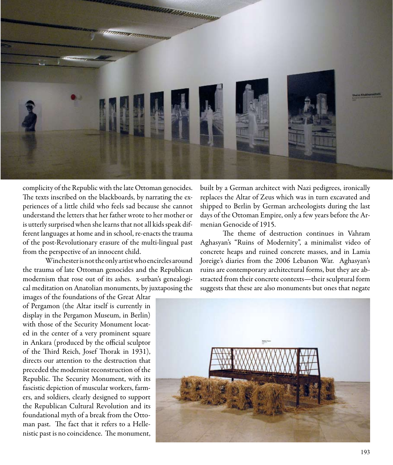

complicity of the Republic with the late Ottoman genocides. The texts inscribed on the blackboards, by narrating the experiences of a little child who feels sad because she cannot understand the letters that her father wrote to her mother or is utterly surprised when she learns that not all kids speak different languages at home and in school, re-enacts the trauma of the post-Revolutionary erasure of the multi-lingual past from the perspective of an innocent child.

Winchester is not the only artist who encircles around the trauma of late Ottoman genocides and the Republican modernism that rose out of its ashes. x-urban's genealogical meditation on Anatolian monuments, by juxtaposing the

images of the foundations of the Great Altar of Pergamon (the Altar itself is currently in display in the Pergamon Museum, in Berlin) with those of the Security Monument located in the center of a very prominent square in Ankara (produced by the official sculptor of the Third Reich, Josef Thorak in 1931), directs our attention to the destruction that preceded the modernist reconstruction of the Republic. The Security Monument, with its fascistic depiction of muscular workers, farmers, and soldiers, clearly designed to support the Republican Cultural Revolution and its foundational myth of a break from the Ottoman past. The fact that it refers to a Hellenistic past is no coincidence. The monument,

built by a German architect with Nazi pedigrees, ironically replaces the Altar of Zeus which was in turn excavated and shipped to Berlin by German archeologists during the last days of the Ottoman Empire, only a few years before the Armenian Genocide of 1915.

The theme of destruction continues in Vahram Aghasyan's "Ruins of Modernity", a minimalist video of concrete heaps and ruined concrete masses, and in Lamia Joreige's diaries from the 2006 Lebanon War. Aghasyan's ruins are contemporary architectural forms, but they are abstracted from their concrete contexts—their sculptural form suggests that these are also monuments but ones that negate

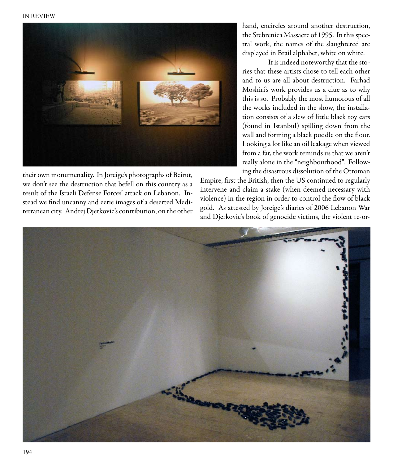

their own monumenality. In Joreige's photographs of Beirut, we don't see the destruction that befell on this country as a result of the Israeli Defense Forces' attack on Lebanon. Instead we find uncanny and eerie images of a deserted Mediterranean city. Andrej Djerkovic's contribution, on the other hand, encircles around another destruction, the Srebrenica Massacre of 1995. In this spectral work, the names of the slaughtered are displayed in Brail alphabet, white on white.

 It is indeed noteworthy that the stories that these artists chose to tell each other and to us are all about destruction. Farhad Moshiri's work provides us a clue as to why this is so. Probably the most humorous of all the works included in the show, the installation consists of a slew of little black toy cars (found in Istanbul) spilling down from the wall and forming a black puddle on the floor. Looking a lot like an oil leakage when viewed from a far, the work reminds us that we aren't really alone in the "neighbourhood". Following the disastrous dissolution of the Ottoman

Empire, first the British, then the US continued to regularly intervene and claim a stake (when deemed necessary with violence) in the region in order to control the flow of black gold. As attested by Joreige's diaries of 2006 Lebanon War and Djerkovic's book of genocide victims, the violent re-or-